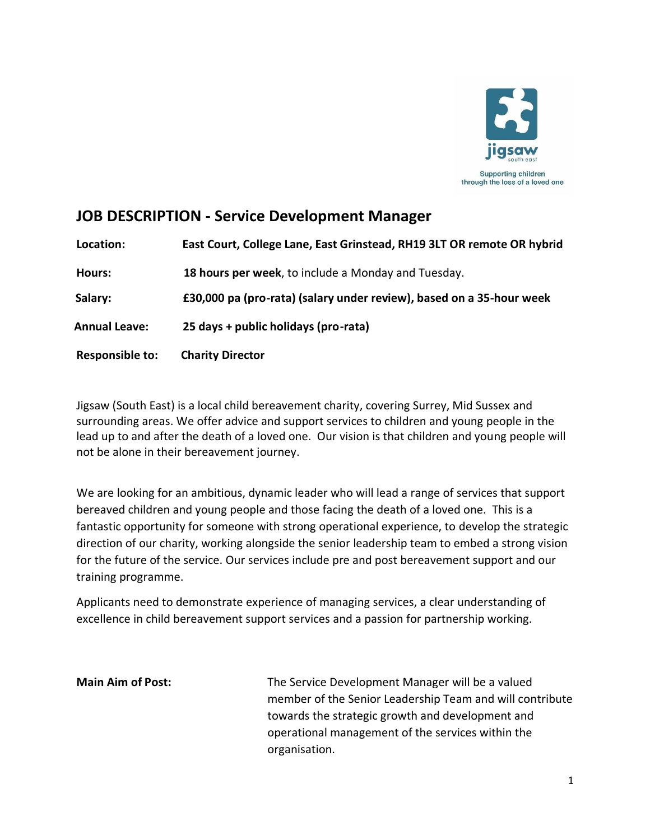

# **JOB DESCRIPTION - Service Development Manager**

**Location: East Court, College Lane, East Grinstead, RH19 3LT OR remote OR hybrid Hours: 18 hours per week**, to include a Monday and Tuesday. **Salary: Salary: £30,000 pa (pro-rata) (salary under review), based on a 35-hour week Annual Annual Leave: 25 days + public holidays (pro-rata) Responsible to: Charity Director**

Jigsaw (South East) is a local child bereavement charity, covering Surrey, Mid Sussex and surrounding areas. We offer advice and support services to children and young people in the lead up to and after the death of a loved one. Our vision is that children and young people will not be alone in their bereavement journey.

We are looking for an ambitious, dynamic leader who will lead a range of services that support bereaved children and young people and those facing the death of a loved one. This is a fantastic opportunity for someone with strong operational experience, to develop the strategic direction of our charity, working alongside the senior leadership team to embed a strong vision for the future of the service. Our services include pre and post bereavement support and our training programme.

Applicants need to demonstrate experience of managing services, a clear understanding of excellence in child bereavement support services and a passion for partnership working.

**Main Aim of Post:** The Service Development Manager will be a valued member of the Senior Leadership Team and will contribute towards the strategic growth and development and operational management of the services within the organisation.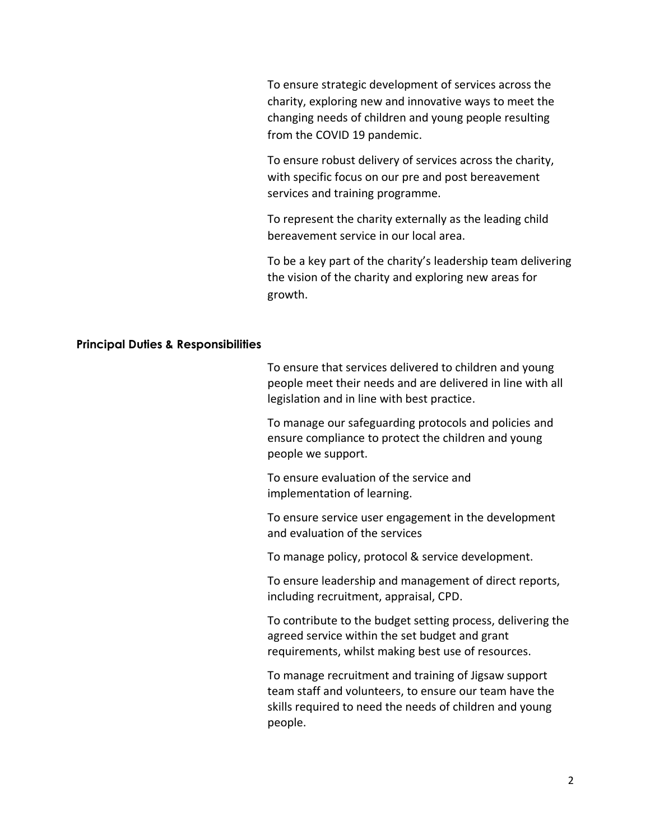To ensure strategic development of services across the charity, exploring new and innovative ways to meet the changing needs of children and young people resulting from the COVID 19 pandemic.

To ensure robust delivery of services across the charity, with specific focus on our pre and post bereavement services and training programme.

To represent the charity externally as the leading child bereavement service in our local area.

To be a key part of the charity's leadership team delivering the vision of the charity and exploring new areas for growth.

#### **Principal Duties & Responsibilities**

To ensure that services delivered to children and young people meet their needs and are delivered in line with all legislation and in line with best practice.

To manage our safeguarding protocols and policies and ensure compliance to protect the children and young people we support.

To ensure evaluation of the service and implementation of learning.

To ensure service user engagement in the development and evaluation of the services

To manage policy, protocol & service development.

To ensure leadership and management of direct reports, including recruitment, appraisal, CPD.

To contribute to the budget setting process, delivering the agreed service within the set budget and grant requirements, whilst making best use of resources.

To manage recruitment and training of Jigsaw support team staff and volunteers, to ensure our team have the skills required to need the needs of children and young people.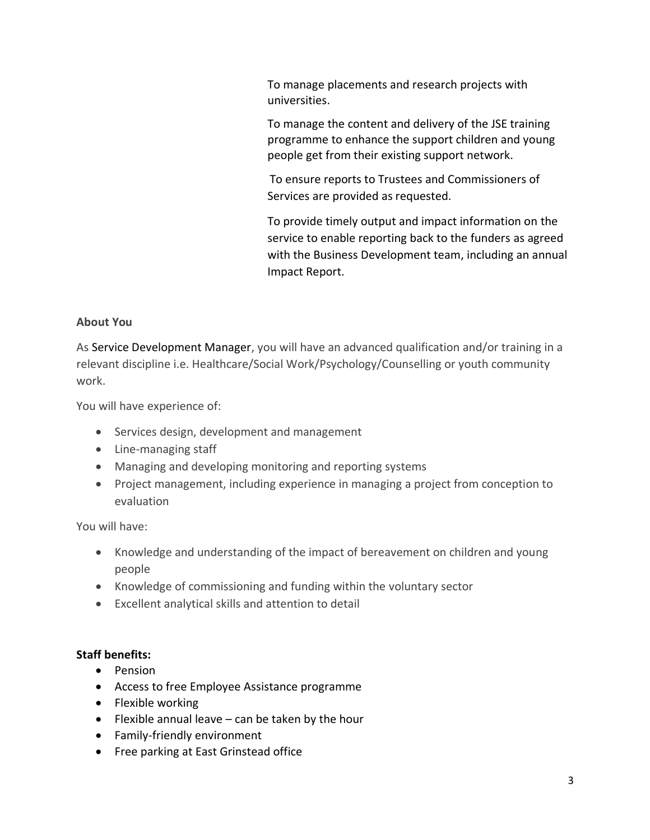To manage placements and research projects with universities.

To manage the content and delivery of the JSE training programme to enhance the support children and young people get from their existing support network.

To ensure reports to Trustees and Commissioners of Services are provided as requested.

To provide timely output and impact information on the service to enable reporting back to the funders as agreed with the Business Development team, including an annual Impact Report.

### **About You**

As Service Development Manager, you will have an advanced qualification and/or training in a relevant discipline i.e. Healthcare/Social Work/Psychology/Counselling or youth community work.

You will have experience of:

- Services design, development and management
- Line-managing staff
- Managing and developing monitoring and reporting systems
- Project management, including experience in managing a project from conception to evaluation

You will have:

- Knowledge and understanding of the impact of bereavement on children and young people
- Knowledge of commissioning and funding within the voluntary sector
- Excellent analytical skills and attention to detail

## **Staff benefits:**

- Pension
- Access to free Employee Assistance programme
- Flexible working
- Flexible annual leave can be taken by the hour
- Family-friendly environment
- Free parking at East Grinstead office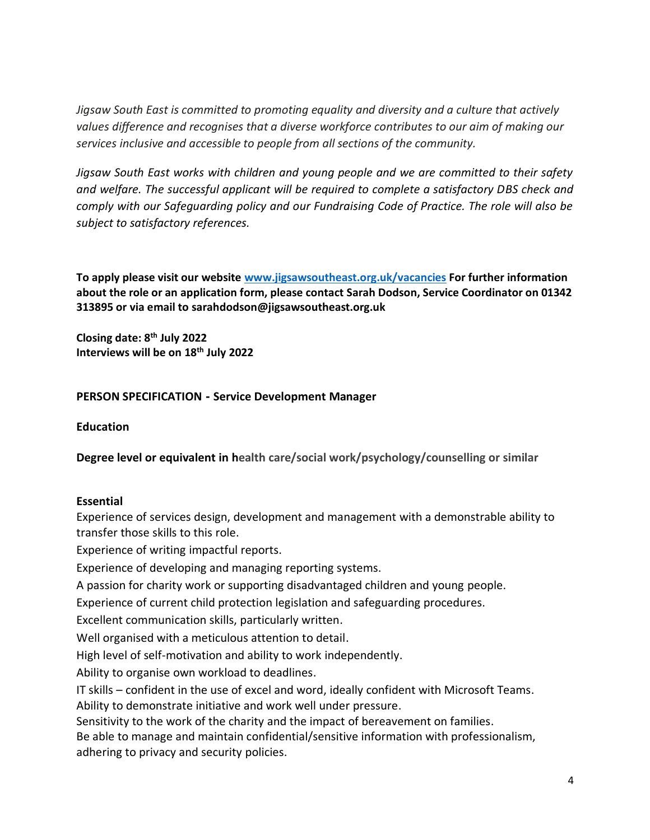*Jigsaw South East is committed to promoting equality and diversity and a culture that actively values difference and recognises that a diverse workforce contributes to our aim of making our services inclusive and accessible to people from all sections of the community.*

*Jigsaw South East works with children and young people and we are committed to their safety and welfare. The successful applicant will be required to complete a satisfactory DBS check and comply with our Safeguarding policy and our Fundraising Code of Practice. The role will also be subject to satisfactory references.* 

**To apply please visit our website [www.jigsawsoutheast.org.uk/vacancies](http://www.jigsawsoutheast.org.uk/vacancies) For further information about the role or an application form, please contact Sarah Dodson, Service Coordinator on 01342 313895 or via email to sarahdodson@jigsawsoutheast.org.uk**

**Closing date: 8th July 2022 Interviews will be on 18th July 2022**

#### **PERSON SPECIFICATION - Service Development Manager**

#### **Education**

**Degree level or equivalent in health care/social work/psychology/counselling or similar**

#### **Essential**

Experience of services design, development and management with a demonstrable ability to transfer those skills to this role.

Experience of writing impactful reports.

Experience of developing and managing reporting systems.

A passion for charity work or supporting disadvantaged children and young people.

Experience of current child protection legislation and safeguarding procedures.

Excellent communication skills, particularly written.

Well organised with a meticulous attention to detail.

High level of self-motivation and ability to work independently.

Ability to organise own workload to deadlines.

IT skills – confident in the use of excel and word, ideally confident with Microsoft Teams. Ability to demonstrate initiative and work well under pressure.

Sensitivity to the work of the charity and the impact of bereavement on families.

Be able to manage and maintain confidential/sensitive information with professionalism, adhering to privacy and security policies.